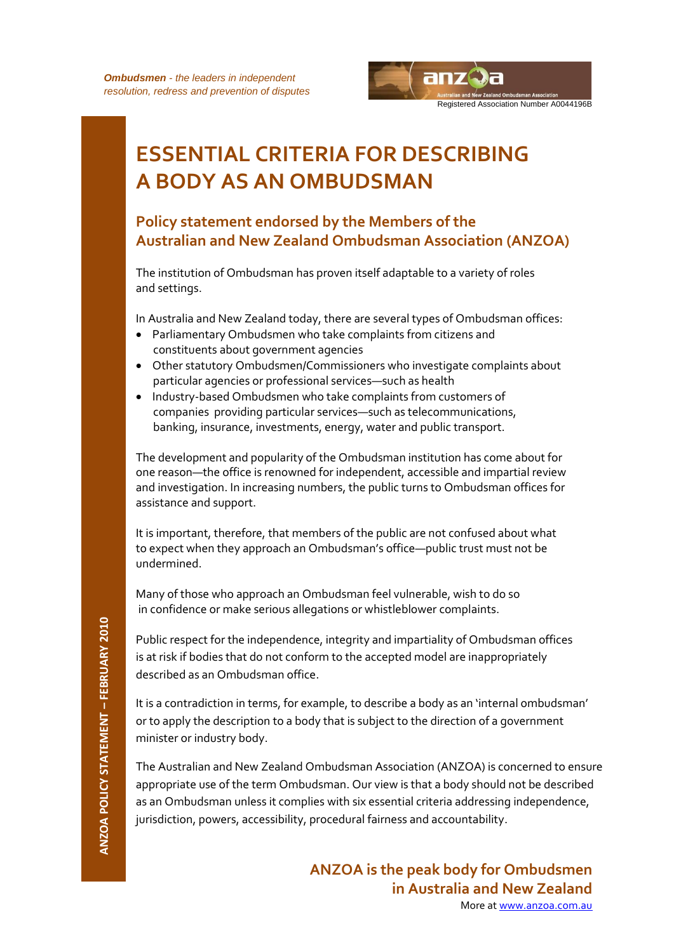

# **ESSENTIAL CRITERIA FOR DESCRIBING A BODY AS AN OMBUDSMAN**

# **Policy statement endorsed by the Members of the Australian and New Zealand Ombudsman Association (ANZOA)**

The institution of Ombudsman has proven itself adaptable to a variety of roles and settings.

In Australia and New Zealand today, there are several types of Ombudsman offices:

- Parliamentary Ombudsmen who take complaints from citizens and constituents about government agencies
- Other statutory Ombudsmen/Commissioners who investigate complaints about particular agencies or professional services—such as health
- Industry-based Ombudsmen who take complaints from customers of companies providing particular services—such as telecommunications, banking, insurance, investments, energy, water and public transport.

The development and popularity of the Ombudsman institution has come about for one reason—the office is renowned for independent, accessible and impartial review and investigation. In increasing numbers, the public turns to Ombudsman offices for assistance and support.

It is important, therefore, that members of the public are not confused about what to expect when they approach an Ombudsman's office—public trust must not be undermined.

Many of those who approach an Ombudsman feel vulnerable, wish to do so in confidence or make serious allegations or whistleblower complaints.

Public respect for the independence, integrity and impartiality of Ombudsman offices is at risk if bodies that do not conform to the accepted model are inappropriately described as an Ombudsman office.

It is a contradiction in terms, for example, to describe a body as an 'internal ombudsman' or to apply the description to a body that is subject to the direction of a government minister or industry body.

The Australian and New Zealand Ombudsman Association (ANZOA) is concerned to ensure appropriate use of the term Ombudsman. Our view is that a body should not be described as an Ombudsman unless it complies with six essential criteria addressing independence, jurisdiction, powers, accessibility, procedural fairness and accountability.